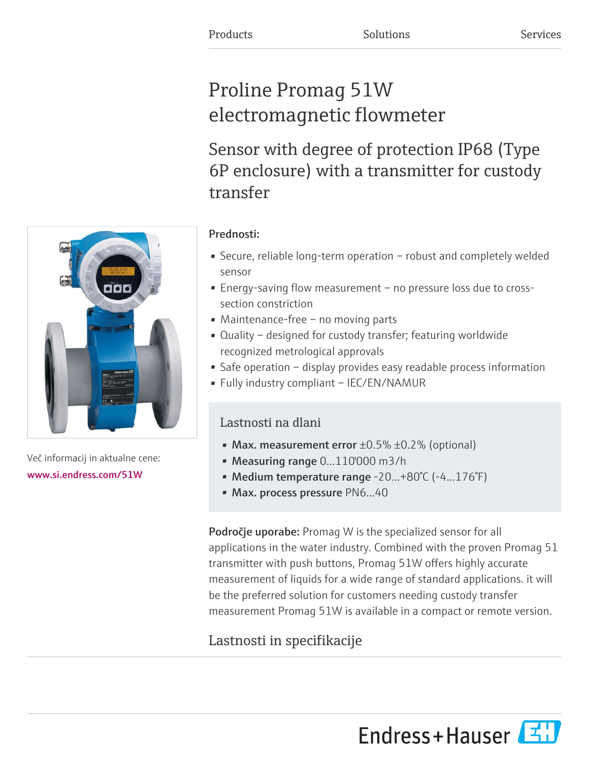# Proline Promag 51W electromagnetic flowmeter

Sensor with degree of protection IP68 (Type 6P enclosure) with a transmitter for custody transfer



Več informacij in aktualne cene: [www.si.endress.com/51W](https://www.si.endress.com/51W)

## Prednosti:

- Secure, reliable long-term operation robust and completely welded sensor
- Energy-saving flow measurement no pressure loss due to crosssection constriction
- Maintenance-free no moving parts
- Quality designed for custody transfer; featuring worldwide recognized metrological approvals
- Safe operation display provides easy readable process information
- Fully industry compliant IEC/EN/NAMUR

## Lastnosti na dlani

- Max. measurement error  $\pm 0.5\%$   $\pm 0.2\%$  (optional)
- Measuring range 0...110'000 m3/h
- Medium temperature range -20...+80°C (-4...176°F)
- Max. process pressure PN6...40

Področje uporabe: Promag W is the specialized sensor for all applications in the water industry. Combined with the proven Promag 51 transmitter with push buttons, Promag 51W offers highly accurate measurement of liquids for a wide range of standard applications. it will be the preferred solution for customers needing custody transfer measurement Promag 51W is available in a compact or remote version.

# Lastnosti in specifikacije

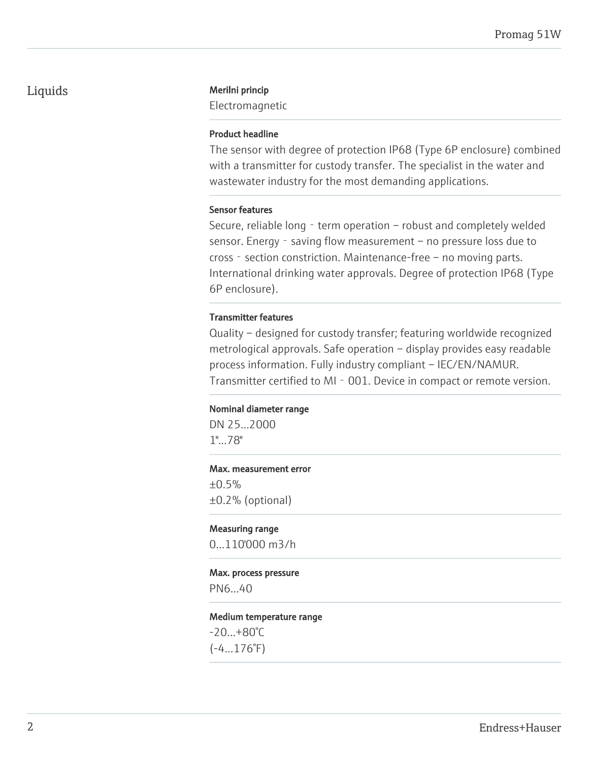## Liquids Merilni princip

Electromagnetic

## Product headline

The sensor with degree of protection IP68 (Type 6P enclosure) combined with a transmitter for custody transfer. The specialist in the water and wastewater industry for the most demanding applications.

### Sensor features

Secure, reliable long  $-$  term operation  $-$  robust and completely welded sensor. Energy - saving flow measurement – no pressure loss due to cross - section constriction. Maintenance-free – no moving parts. International drinking water approvals. Degree of protection IP68 (Type 6P enclosure).

## Transmitter features

Quality – designed for custody transfer; featuring worldwide recognized metrological approvals. Safe operation – display provides easy readable process information. Fully industry compliant – IEC/EN/NAMUR. Transmitter certified to MI - 001. Device in compact or remote version.

#### Nominal diameter range

DN 25...2000 1"...78"

#### Max. measurement error

 $±0.5%$ ±0.2% (optional)

Measuring range 0...110'000 m3/h

# Max. process pressure

PN6...40

Medium temperature range

-20...+80°C  $(-4...176°F)$